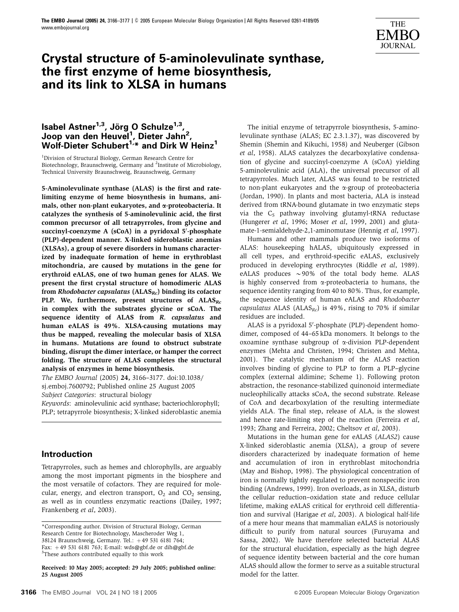

# **Crystal structure of 5-aminolevulinate synthase, the first enzyme of heme biosynthesis, and its link to XLSA in humans**

# **Isabel Astner<sup>1,3</sup>, Jörg O Schulze<sup>1,3</sup>, Joop van den Heuvel1 , Dieter Jahn2 ,** Wolf-Dieter Schubert<sup>1,\*</sup> and Dirk W Heinz<sup>1</sup>

<sup>1</sup>Division of Structural Biology, German Research Centre for Biotechnology, Braunschweig, Germany and <sup>2</sup>Institute of Microbiology, Technical University Braunschweig, Braunschweig, Germany

5-Aminolevulinate synthase (ALAS) is the first and ratelimiting enzyme of heme biosynthesis in humans, animals, other non-plant eukaryotes, and  $\alpha$ -proteobacteria. It catalyzes the synthesis of 5-aminolevulinic acid, the first common precursor of all tetrapyrroles, from glycine and succinyl-coenzyme A (sCoA) in a pyridoxal 5'-phosphate (PLP)-dependent manner. X-linked sideroblastic anemias (XLSAs), a group of severe disorders in humans characterized by inadequate formation of heme in erythroblast mitochondria, are caused by mutations in the gene for erythroid eALAS, one of two human genes for ALAS. We present the first crystal structure of homodimeric ALAS from Rhodobacter capsulatus  $(ALAS_{Rc})$  binding its cofactor PLP. We, furthermore, present structures of  $ALAS_{Rc}$ in complex with the substrates glycine or sCoA. The sequence identity of ALAS from R. capsulatus and human eALAS is 49%. XLSA-causing mutations may thus be mapped, revealing the molecular basis of XLSA in humans. Mutations are found to obstruct substrate binding, disrupt the dimer interface, or hamper the correct folding. The structure of ALAS completes the structural analysis of enzymes in heme biosynthesis.

The EMBO Journal (2005) 24, 3166–3177. doi:10.1038/ sj.emboj.7600792; Published online 25 August 2005 Subject Categories: structural biology

Keywords: aminolevulinic acid synthase; bacteriochlorophyll; PLP; tetrapyrrole biosynthesis; X-linked sideroblastic anemia

# **Introduction**

Tetrapyrroles, such as hemes and chlorophylls, are arguably among the most important pigments in the biosphere and the most versatile of cofactors. They are required for molecular, energy, and electron transport,  $O_2$  and  $CO_2$  sensing, as well as in countless enzymatic reactions (Dailey, 1997; Frankenberg et al, 2003).

Received: 10 May 2005; accepted: 29 July 2005; published online: 25 August 2005

The initial enzyme of tetrapyrrole biosynthesis, 5-aminolevulinate synthase (ALAS; EC 2.3.1.37), was discovered by Shemin (Shemin and Kikuchi, 1958) and Neuberger (Gibson et al, 1958). ALAS catalyzes the decarboxylative condensation of glycine and succinyl-coenzyme A (sCoA) yielding 5-aminolevulinic acid (ALA), the universal precursor of all tetrapyrroles. Much later, ALAS was found to be restricted to non-plant eukaryotes and the  $\alpha$ -group of proteobacteria (Jordan, 1990). In plants and most bacteria, ALA is instead derived from tRNA-bound glutamate in two enzymatic steps via the  $C_5$  pathway involving glutamyl-tRNA reductase (Hungerer et al, 1996; Moser et al, 1999, 2001) and glutamate-1-semialdehyde-2,1-aminomutase (Hennig et al, 1997).

Humans and other mammals produce two isoforms of ALAS: housekeeping hALAS, ubiquitously expressed in all cell types, and erythroid-specific eALAS, exclusively produced in developing erythrocytes (Riddle et al, 1989). eALAS produces  $\sim$ 90% of the total body heme. ALAS is highly conserved from  $\alpha$ -proteobacteria to humans, the sequence identity ranging from 40 to 80%. Thus, for example, the sequence identity of human eALAS and Rhodobacter capsulatus ALAS ( $ALAS_{Rc}$ ) is 49%, rising to 70% if similar residues are included.

ALAS is a pyridoxal 5'-phosphate (PLP)-dependent homodimer, composed of 44–65 kDa monomers. It belongs to the oxoamine synthase subgroup of a-division PLP-dependent enzymes (Mehta and Christen, 1994; Christen and Mehta, 2001). The catalytic mechanism of the ALAS reaction involves binding of glycine to PLP to form a PLP–glycine complex (external aldimine; Scheme 1). Following proton abstraction, the resonance-stabilized quinonoid intermediate nucleophilically attacks sCoA, the second substrate. Release of CoA and decarboxylation of the resulting intermediate yields ALA. The final step, release of ALA, is the slowest and hence rate-limiting step of the reaction (Ferreira et al, 1993; Zhang and Ferreira, 2002; Cheltsov et al, 2003).

Mutations in the human gene for eALAS (ALAS2) cause X-linked sideroblastic anemia (XLSA), a group of severe disorders characterized by inadequate formation of heme and accumulation of iron in erythroblast mitochondria (May and Bishop, 1998). The physiological concentration of iron is normally tightly regulated to prevent nonspecific iron binding (Andrews, 1999). Iron overloads, as in XLSA, disturb the cellular reduction–oxidation state and reduce cellular lifetime, making eALAS critical for erythroid cell differentiation and survival (Harigae et al, 2003). A biological half-life of a mere hour means that mammalian eALAS is notoriously difficult to purify from natural sources (Furuyama and Sassa, 2002). We have therefore selected bacterial ALAS for the structural elucidation, especially as the high degree of sequence identity between bacterial and the core human ALAS should allow the former to serve as a suitable structural model for the latter.

<sup>\*</sup>Corresponding author. Division of Structural Biology, German Research Centre for Biotechnology, Mascheroder Weg 1, 38124 Braunschweig, Germany. Tel.: +49 531 6181 764; Fax: +49 531 6181 763; E-mail: wds@gbf.de or dih@gbf.de <sup>3</sup>These authors contributed equally to this work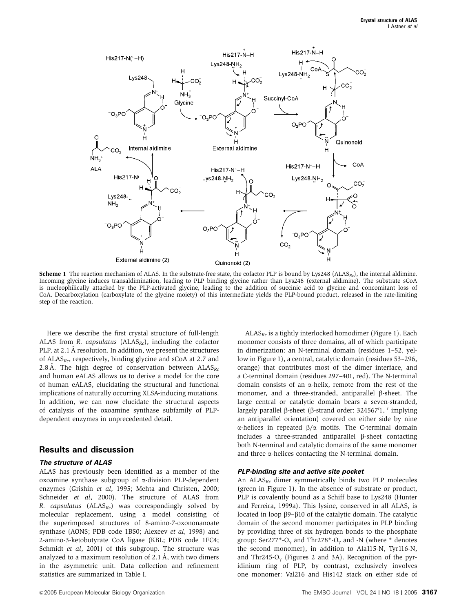

**Scheme 1** The reaction mechanism of ALAS. In the substrate-free state, the cofactor PLP is bound by Lys248 ( $ALAS_{RC}$ ), the internal aldimine. Incoming glycine induces transaldimination, leading to PLP binding glycine rather than Lys248 (external aldimine). The substrate sCoA is nucleophilically attacked by the PLP-activated glycine, leading to the addition of succinic acid to glycine and concomitant loss of CoA. Decarboxylation (carboxylate of the glycine moiety) of this intermediate yields the PLP-bound product, released in the rate-limiting step of the reaction.

Here we describe the first crystal structure of full-length ALAS from R. capsulatus ( $ALAS_{RC}$ ), including the cofactor PLP, at 2.1 Å resolution. In addition, we present the structures of  $ALAS_{Rc}$ , respectively, binding glycine and sCoA at 2.7 and 2.8 Å. The high degree of conservation between  $ALAS_{Rc}$ and human eALAS allows us to derive a model for the core of human eALAS, elucidating the structural and functional implications of naturally occurring XLSA-inducing mutations. In addition, we can now elucidate the structural aspects of catalysis of the oxoamine synthase subfamily of PLPdependent enzymes in unprecedented detail.

## **Results and discussion**

#### **The structure of ALAS**

ALAS has previously been identified as a member of the oxoamine synthase subgroup of a-division PLP-dependent enzymes (Grishin et al, 1995; Mehta and Christen, 2000; Schneider et al, 2000). The structure of ALAS from R. capsulatus ( $ALAS_{RC}$ ) was correspondingly solved by molecular replacement, using a model consisting of the superimposed structures of 8-amino-7-oxononanoate synthase (AONS; PDB code 1BS0; Alexeev et al, 1998) and 2-amino-3-ketobutyrate CoA ligase (KBL; PDB code 1FC4; Schmidt et al, 2001) of this subgroup. The structure was analyzed to a maximum resolution of  $2.1 \text{ Å}$ , with two dimers in the asymmetric unit. Data collection and refinement statistics are summarized in Table I.

&2005 European Molecular Biology Organization The EMBO Journal VOL 24 <sup>|</sup> NO 18 <sup>|</sup> <sup>2005</sup> **<sup>3167</sup>**

 $ALAS_{Rc}$  is a tightly interlocked homodimer (Figure 1). Each monomer consists of three domains, all of which participate in dimerization: an N-terminal domain (residues 1–52, yellow in Figure 1), a central, catalytic domain (residues 53–296, orange) that contributes most of the dimer interface, and a C-terminal domain (residues 297–401, red). The N-terminal domain consists of an  $\alpha$ -helix, remote from the rest of the monomer, and a three-stranded, antiparallel  $\beta$ -sheet. The large central or catalytic domain bears a seven-stranded, largely parallel  $\beta$ -sheet ( $\beta$ -strand order: 324567'1, ' implying an antiparallel orientation) covered on either side by nine  $\alpha$ -helices in repeated  $\beta/\alpha$  motifs. The C-terminal domain includes a three-stranded antiparallel b-sheet contacting both N-terminal and catalytic domains of the same monomer and three  $\alpha$ -helices contacting the N-terminal domain.

#### **PLP-binding site and active site pocket**

An  $ALAS_{Rc}$  dimer symmetrically binds two PLP molecules (green in Figure 1). In the absence of substrate or product, PLP is covalently bound as a Schiff base to Lys248 (Hunter and Ferreira, 1999a). This lysine, conserved in all ALAS, is located in loop  $\beta$ 9- $\beta$ 10 of the catalytic domain. The catalytic domain of the second monomer participates in PLP binding by providing three of six hydrogen bonds to the phosphate group: Ser277\*-O<sub> $\gamma$ </sub> and Thr278\*-O<sub> $\gamma$ </sub> and -N (where  $*$  denotes the second monomer), in addition to Ala115-N, Tyr116-N, and Thr245-O<sub> $\rm{v}$ </sub> (Figures 2 and 3A). Recognition of the pyridinium ring of PLP, by contrast, exclusively involves one monomer: Val216 and His142 stack on either side of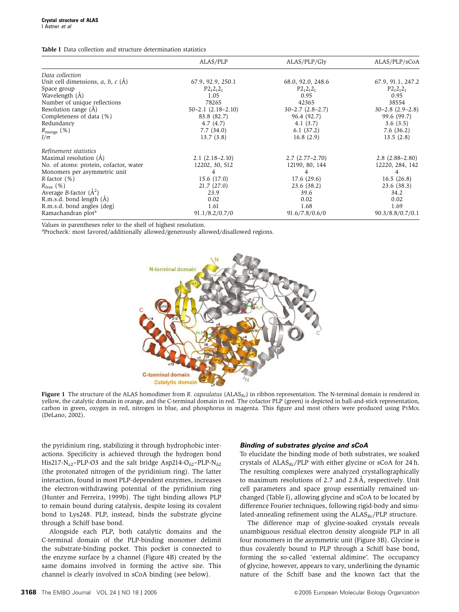Table I Data collection and structure determination statistics

|                                                 | ALAS/PLP                   | ALAS/PLP/Glv             | ALAS/PLP/sCoA            |  |
|-------------------------------------------------|----------------------------|--------------------------|--------------------------|--|
| Data collection                                 |                            |                          |                          |  |
| Unit cell dimensions, $a, b, c$ ( $\tilde{A}$ ) | 67.9, 92.9, 250.1          | 68.0, 92.0, 248.6        | 67.9, 91.1, 247.2        |  |
| Space group                                     | $P2_12_12_1$               | $P2_12_12_1$             | $P2_12_12_1$             |  |
| Wavelength (A)                                  | 1.05                       | 0.95                     | 0.95                     |  |
| Number of unique reflections                    | 78265                      | 42365                    | 38554                    |  |
| Resolution range $(A)$                          | $50 - 2.1$ $(2.18 - 2.10)$ | $30 - 2.7$ $(2.8 - 2.7)$ | $30 - 2.8$ $(2.9 - 2.8)$ |  |
| Completeness of data (%)                        | 83.8 (82.7)                | 96.4 (92.7)              | 99.6 (99.7)              |  |
| Redundancy                                      | 4.7(4.7)                   | 4.1(3.7)                 | 3.6(3.5)                 |  |
| $R_{\rm merge}$ (%)                             | 7.7(34.0)                  | 6.1(37.2)                | 7.6(36.2)                |  |
| $I/\sigma$                                      | 13.7(3.8)                  | 16.8(2.9)                | 13.5(2.8)                |  |
| Refinement statistics                           |                            |                          |                          |  |
| Maximal resolution (A)                          | $2.1(2.18-2.10)$           | $2.7(2.77-2.70)$         | $2.8(2.88-2.80)$         |  |
| No. of atoms: protein, cofactor, water          | 12202, 30, 512             | 12190, 80, 144           | 12220, 284, 142          |  |
| Monomers per asymmetric unit                    | 4                          | 4                        | 4                        |  |
| $R$ -factor $(\%)$                              | 15.6(17.0)                 | 17.6(29.6)               | 16.5(26.8)               |  |
| $R_{\text{free}}$ (%)                           | 21.7(27.0)                 | 23.6(38.2)               | 23.6 (38.3)              |  |
| Average B-factor $(A^2)$                        | 23.9                       | 39.6                     | 34.2                     |  |
| R.m.s.d. bond length $(A)$                      | 0.02                       | 0.02                     | 0.02                     |  |
| R.m.s.d. bond angles (deg)                      | 1.61                       | 1.68                     | 1.69                     |  |
| Ramachandran plot <sup>a</sup>                  | 91.1/8.2/0.7/0             | 91.6/7.8/0.6/0           | 90.3/8.8/0.7/0.1         |  |

Values in parentheses refer to the shell of highest resolution.

aProcheck: most favored/additionally allowed/generously allowed/disallowed regions.



Figure 1 The structure of the ALAS homodimer from R. capsulatus  $(ALAS_{Rc})$  in ribbon representation. The N-terminal domain is rendered in yellow, the catalytic domain in orange, and the C-terminal domain in red. The cofactor PLP (green) is depicted in ball-and-stick representation, carbon in green, oxygen in red, nitrogen in blue, and phosphorus in magenta. This figure and most others were produced using PYMOL (DeLano, 2002).

the pyridinium ring, stabilizing it through hydrophobic interactions. Specificity is achieved through the hydrogen bond His217-N<sub>s2</sub>–PLP-O3 and the salt bridge Asp214-O<sub> $\delta$ 2</sub>–PLP-N $_{\delta$ <sub>2</sub> (the protonated nitrogen of the pyridinium ring). The latter interaction, found in most PLP-dependent enzymes, increases the electron-withdrawing potential of the pyridinium ring (Hunter and Ferreira, 1999b). The tight binding allows PLP to remain bound during catalysis, despite losing its covalent bond to Lys248. PLP, instead, binds the substrate glycine through a Schiff base bond.

Alongside each PLP, both catalytic domains and the C-terminal domain of the PLP-binding monomer delimit the substrate-binding pocket. This pocket is connected to the enzyme surface by a channel (Figure 4B) created by the same domains involved in forming the active site. This channel is clearly involved in sCoA binding (see below).

#### **Binding of substrates glycine and sCoA**

To elucidate the binding mode of both substrates, we soaked crystals of  $ALAS_{RC}/PLP$  with either glycine or sCoA for 24 h. The resulting complexes were analyzed crystallographically to maximum resolutions of 2.7 and  $2.8 \text{ Å}$ , respectively. Unit cell parameters and space group essentially remained unchanged (Table I), allowing glycine and sCoA to be located by difference Fourier techniques, following rigid-body and simulated-annealing refinement using the  $ALAS_{Rc}/PLP$  structure.

The difference map of glycine-soaked crystals reveals unambiguous residual electron density alongside PLP in all four monomers in the asymmetric unit (Figure 3B). Glycine is thus covalently bound to PLP through a Schiff base bond, forming the so-called 'external aldimine'. The occupancy of glycine, however, appears to vary, underlining the dynamic nature of the Schiff base and the known fact that the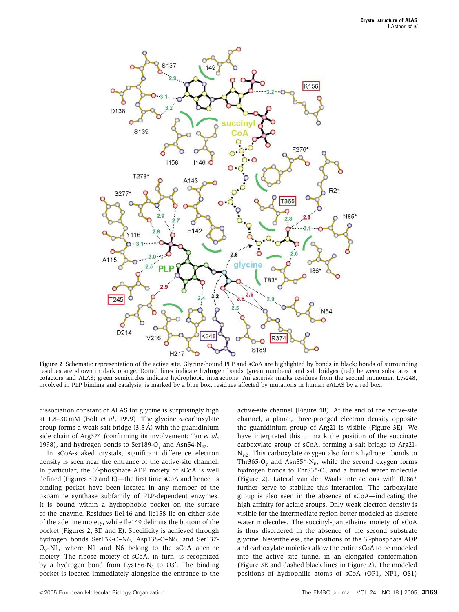

Figure 2 Schematic representation of the active site. Glycine-bound PLP and sCoA are highlighted by bonds in black; bonds of surrounding residues are shown in dark orange. Dotted lines indicate hydrogen bonds (green numbers) and salt bridges (red) between substrates or cofactors and ALAS; green semicircles indicate hydrophobic interactions. An asterisk marks residues from the second monomer. Lys248, involved in PLP binding and catalysis, is marked by a blue box, residues affected by mutations in human eALAS by a red box.

dissociation constant of ALAS for glycine is surprisingly high at 1.8-30 mM (Bolt et al, 1999). The glycine  $\alpha$ -carboxylate group forms a weak salt bridge  $(3.8 \text{ Å})$  with the guanidinium side chain of Arg374 (confirming its involvement; Tan et al, 1998), and hydrogen bonds to Ser189-O<sub> $\rm{v}$ </sub> and Asn54-N<sub> $\rm{82}$ </sub>.

In sCoA-soaked crystals, significant difference electron density is seen near the entrance of the active-site channel. In particular, the 3'-phosphate ADP moiety of sCoA is well defined (Figures 3D and E)—the first time sCoA and hence its binding pocket have been located in any member of the oxoamine synthase subfamily of PLP-dependent enzymes. It is bound within a hydrophobic pocket on the surface of the enzyme. Residues Ile146 and Ile158 lie on either side of the adenine moiety, while Ile149 delimits the bottom of the pocket (Figures 2, 3D and E). Specificity is achieved through hydrogen bonds Ser139-O–N6, Asp138-O–N6, and Ser137-  $O_y$ –N1, where N1 and N6 belong to the sCoA adenine moiety. The ribose moiety of sCoA, in turn, is recognized by a hydrogen bond from Lys156-N<sub> $\zeta$ </sub> to O3'. The binding pocket is located immediately alongside the entrance to the

active-site channel (Figure 4B). At the end of the active-site channel, a planar, three-pronged electron density opposite the guanidinium group of Arg21 is visible (Figure 3E). We have interpreted this to mark the position of the succinate carboxylate group of sCoA, forming a salt bridge to Arg21-  $N_{n2}$ . This carboxylate oxygen also forms hydrogen bonds to Thr365-O<sub>y</sub> and Asn85<sup>\*</sup>-N<sub> $\delta$ </sub>, while the second oxygen forms hydrogen bonds to Thr83\*-O<sub> $\gamma$ </sub> and a buried water molecule (Figure 2). Lateral van der Waals interactions with Ile86\* further serve to stabilize this interaction. The carboxylate group is also seen in the absence of sCoA—indicating the high affinity for acidic groups. Only weak electron density is visible for the intermediate region better modeled as discrete water molecules. The succinyl-pantetheine moiety of sCoA is thus disordered in the absence of the second substrate glycine. Nevertheless, the positions of the 3'-phosphate ADP and carboxylate moieties allow the entire sCoA to be modeled into the active site tunnel in an elongated conformation (Figure 3E and dashed black lines in Figure 2). The modeled positions of hydrophilic atoms of sCoA (OP1, NP1, OS1)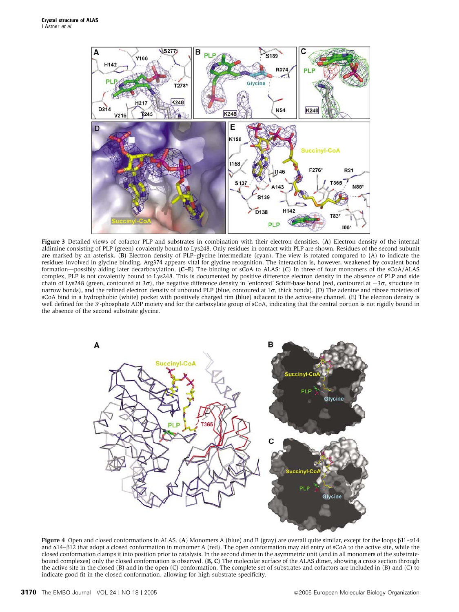

Figure 3 Detailed views of cofactor PLP and substrates in combination with their electron densities. (A) Electron density of the internal aldimine consisting of PLP (green) covalently bound to Lys248. Only residues in contact with PLP are shown. Residues of the second subunit are marked by an asterisk. (B) Electron density of PLP–glycine intermediate (cyan). The view is rotated compared to (A) to indicate the residues involved in glycine binding. Arg374 appears vital for glycine recognition. The interaction is, however, weakened by covalent bond formation—possibly aiding later decarboxylation. (C–E) The binding of sCoA to ALAS: (C) In three of four monomers of the sCoA/ALAS complex, PLP is not covalently bound to Lys248. This is documented by positive difference electron density in the absence of PLP and side chain of Lys248 (green, contoured at 30), the negative difference density in 'enforced' Schiff-base bond (red, contoured at  $-3\sigma$ , structure in narrow bonds), and the refined electron density of unbound PLP (blue, contoured at  $1\sigma$ , thick bonds). (D) The adenine and ribose moieties of sCoA bind in a hydrophobic (white) pocket with positively charged rim (blue) adjacent to the active-site channel. (E) The electron density is well defined for the 3<sup>7</sup>-phosphate ADP moiety and for the carboxylate group of sCoA, indicating that the central portion is not rigidly bound in the absence of the second substrate glycine.



Figure 4 Open and closed conformations in ALAS. (A) Monomers A (blue) and B (gray) are overall quite similar, except for the loops  $\beta$ 11– $\alpha$ 14 and a14–b12 that adopt a closed conformation in monomer A (red). The open conformation may aid entry of sCoA to the active site, while the closed conformation clamps it into position prior to catalysis. In the second dimer in the asymmetric unit (and in all monomers of the substratebound complexes) only the closed conformation is observed.  $(B, C)$  The molecular surface of the ALAS dimer, showing a cross section through the active site in the closed (B) and in the open (C) conformation. The complete set of substrates and cofactors are included in (B) and (C) to indicate good fit in the closed conformation, allowing for high substrate specificity.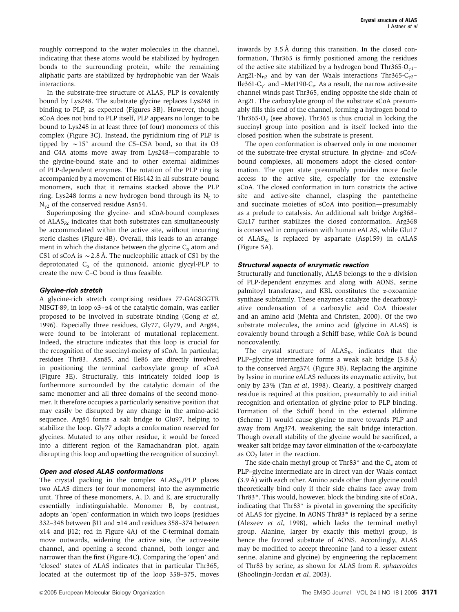In the substrate-free structure of ALAS, PLP is covalently bound by Lys248. The substrate glycine replaces Lys248 in binding to PLP, as expected (Figures 3B). However, though sCoA does not bind to PLP itself, PLP appears no longer to be bound to Lys248 in at least three (of four) monomers of this complex (Figure 3C). Instead, the pyridinium ring of PLP is tipped by  $\sim$  15 $\degree$  around the C5–C5A bond, so that its O3 and C4A atoms move away from Lys248—comparable to the glycine-bound state and to other external aldimines of PLP-dependent enzymes. The rotation of the PLP ring is accompanied by a movement of His142 in all substrate-bound monomers, such that it remains stacked above the PLP ring. Lys248 forms a new hydrogen bond through its  $N_{\zeta}$  to  $N_{\gamma2}$  of the conserved residue Asn54.

Superimposing the glycine- and sCoA-bound complexes of  $ALAS_{Rc}$  indicates that both substrates can simultaneously be accommodated within the active site, without incurring steric clashes (Figure 4B). Overall, this leads to an arrangement in which the distance between the glycine  $C_{\alpha}$  atom and CS1 of sCoA is  $\sim$  2.8 Å. The nucleophilic attack of CS1 by the deprotonated  $C_{\alpha}$  of the quinonoid, anionic glycyl-PLP to create the new C–C bond is thus feasible.

#### **Glycine-rich stretch**

A glycine-rich stretch comprising residues 77-GAGSGGTR NISGT-89, in loop  $\alpha$ 3- $\alpha$ 4 of the catalytic domain, was earlier proposed to be involved in substrate binding (Gong et al, 1996). Especially three residues, Gly77, Gly79, and Arg84, were found to be intolerant of mutational replacement. Indeed, the structure indicates that this loop is crucial for the recognition of the succinyl-moiety of sCoA. In particular, residues Thr83, Asn85, and Ile86 are directly involved in positioning the terminal carboxylate group of sCoA (Figure 3E). Structurally, this intricately folded loop is furthermore surrounded by the catalytic domain of the same monomer and all three domains of the second monomer. It therefore occupies a particularly sensitive position that may easily be disrupted by any change in the amino-acid sequence. Arg84 forms a salt bridge to Glu97, helping to stabilize the loop. Gly77 adopts a conformation reserved for glycines. Mutated to any other residue, it would be forced into a different region of the Ramachandran plot, again disrupting this loop and upsetting the recognition of succinyl.

### **Open and closed ALAS conformations**

The crystal packing in the complex  $ALAS_{RC}/PLP$  places two ALAS dimers (or four monomers) into the asymmetric unit. Three of these monomers, A, D, and E, are structurally essentially indistinguishable. Monomer B, by contrast, adopts an 'open' conformation in which two loops (residues 332–348 between  $\beta$ 11 and  $\alpha$ 14 and residues 358–374 between  $\alpha$ 14 and  $\beta$ 12; red in Figure 4A) of the C-terminal domain move outwards, widening the active site, the active-site channel, and opening a second channel, both longer and narrower than the first (Figure 4C). Comparing the 'open' and 'closed' states of ALAS indicates that in particular Thr365, located at the outermost tip of the loop 358–375, moves inwards by  $3.5 \text{ Å}$  during this transition. In the closed conformation, Thr365 is firmly positioned among the residues of the active site stabilized by a hydrogen bond Thr365-O<sub> $v1$ </sub>– Arg21-N<sub>n2</sub> and by van der Waals interactions Thr365-C<sub>y2</sub>– Ile361-C<sub> $v1$ </sub> and –Met190-C<sub> $\varepsilon$ </sub>. As a result, the narrow active-site channel winds past Thr365, ending opposite the side chain of Arg21. The carboxylate group of the substrate sCoA presumably fills this end of the channel, forming a hydrogen bond to Thr365-O<sub> $\rm{v}$ </sub> (see above). Thr365 is thus crucial in locking the succinyl group into position and is itself locked into the closed position when the substrate is present.

The open conformation is observed only in one monomer of the substrate-free crystal structure. In glycine- and sCoAbound complexes, all monomers adopt the closed conformation. The open state presumably provides more facile access to the active site, especially for the extensive sCoA. The closed conformation in turn constricts the active site and active-site channel, clasping the pantetheine and succinate moieties of sCoA into position—presumably as a prelude to catalysis. An additional salt bridge Arg368– Glu17 further stabilizes the closed conformation. Arg368 is conserved in comparison with human eALAS, while Glu17 of  $ALAS_{Rc}$  is replaced by aspartate (Asp159) in eALAS (Figure 5A).

#### **Structural aspects of enzymatic reaction**

Structurally and functionally, ALAS belongs to the  $\alpha$ -division of PLP-dependent enzymes and along with AONS, serine palmitoyl transferase, and KBL constitutes the  $\alpha$ -oxoamine synthase subfamily. These enzymes catalyze the decarboxylative condensation of a carboxylic acid CoA thioester and an amino acid (Mehta and Christen, 2000). Of the two substrate molecules, the amino acid (glycine in ALAS) is covalently bound through a Schiff base, while CoA is bound noncovalently.

The crystal structure of  $ALAS_{Rc}$  indicates that the PLP–glycine intermediate forms a weak salt bridge  $(3.8 \text{ Å})$ to the conserved Arg374 (Figure 3B). Replacing the arginine by lysine in murine eALAS reduces its enzymatic activity, but only by 23% (Tan et al, 1998). Clearly, a positively charged residue is required at this position, presumably to aid initial recognition and orientation of glycine prior to PLP binding. Formation of the Schiff bond in the external aldimine (Scheme 1) would cause glycine to move towards PLP and away from Arg374, weakening the salt bridge interaction. Though overall stability of the glycine would be sacrificed, a weaker salt bridge may favor elimination of the  $\alpha$ -carboxylate as CO<sub>2</sub> later in the reaction.

The side-chain methyl group of Thr83<sup>\*</sup> and the  $C_{\alpha}$  atom of PLP–glycine intermediate are in direct van der Waals contact  $(3.9 \text{ Å})$  with each other. Amino acids other than glycine could theoretically bind only if their side chains face away from Thr83\*. This would, however, block the binding site of sCoA, indicating that Thr83\* is pivotal in governing the specificity of ALAS for glycine. In AONS Thr83\* is replaced by a serine (Alexeev et al, 1998), which lacks the terminal methyl group. Alanine, larger by exactly this methyl group, is hence the favored substrate of AONS. Accordingly, ALAS may be modified to accept threonine (and to a lesser extent serine, alanine and glycine) by engineering the replacement of Thr83 by serine, as shown for ALAS from R. sphaeroides (Shoolingin-Jordan et al, 2003).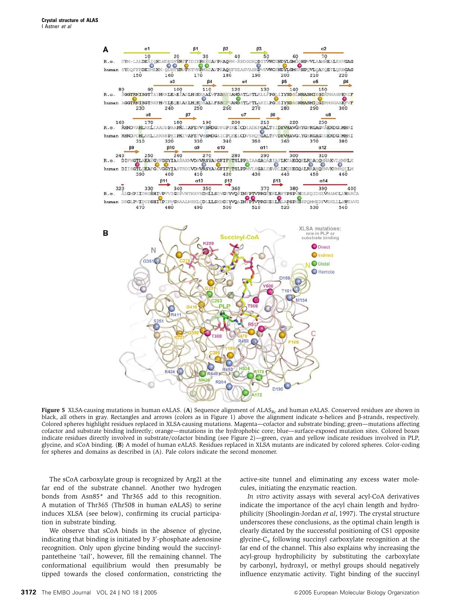

Figure 5 XLSA-causing mutations in human eALAS. (A) Sequence alignment of  $ALAS_{RC}$  and human eALAS. Conserved residues are shown in black, all others in gray. Rectangles and arrows (colors as in Figure 1) above the alignment indicate  $\alpha$ -helices and  $\beta$ -strands, respectively. Colored spheres highlight residues replaced in XLSA-causing mutations. Magenta—cofactor and substrate binding; green—mutations affecting cofactor and substrate binding indirectly; orange—mutations in the hydrophobic core; blue—surface-exposed mutation sites. Colored boxes indicate residues directly involved in substrate/cofactor binding (see Figure 2)—green, cyan and yellow indicate residues involved in PLP, glycine, and sCoA binding. (B) A model of human eALAS. Residues replaced in XLSA mutants are indicated by colored spheres. Color-coding for spheres and domains as described in (A). Pale colors indicate the second monomer.

The sCoA carboxylate group is recognized by Arg21 at the far end of the substrate channel. Another two hydrogen bonds from Asn85\* and Thr365 add to this recognition. A mutation of Thr365 (Thr508 in human eALAS) to serine induces XLSA (see below), confirming its crucial participation in substrate binding.

We observe that sCoA binds in the absence of glycine, indicating that binding is initiated by 3'-phosphate adenosine recognition. Only upon glycine binding would the succinylpantetheine 'tail', however, fill the remaining channel. The conformational equilibrium would then presumably be tipped towards the closed conformation, constricting the active-site tunnel and eliminating any excess water molecules, initiating the enzymatic reaction.

In vitro activity assays with several acyl-CoA derivatives indicate the importance of the acyl chain length and hydrophilicity (Shoolingin-Jordan et al, 1997). The crystal structure underscores these conclusions, as the optimal chain length is clearly dictated by the successful positioning of CS1 opposite glycine- $C_{\alpha}$  following succinyl carboxylate recognition at the far end of the channel. This also explains why increasing the acyl-group hydrophilicity by substituting the carboxylate by carbonyl, hydroxyl, or methyl groups should negatively influence enzymatic activity. Tight binding of the succinyl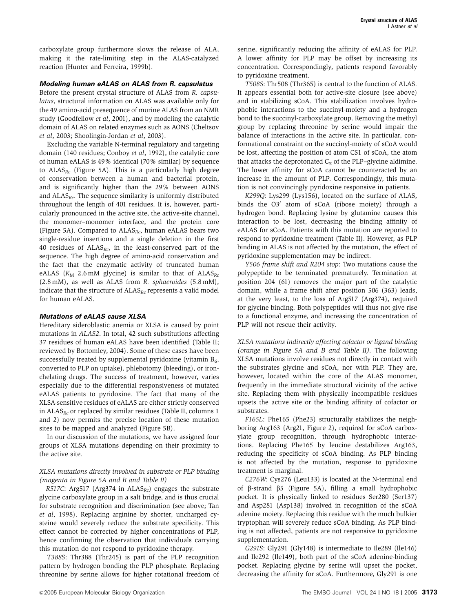carboxylate group furthermore slows the release of ALA, making it the rate-limiting step in the ALAS-catalyzed reaction (Hunter and Ferreira, 1999b).

#### **Modeling human eALAS on ALAS from R. capsulatus**

Before the present crystal structure of ALAS from R. capsulatus, structural information on ALAS was available only for the 49 amino-acid presequence of murine ALAS from an NMR study (Goodfellow et al, 2001), and by modeling the catalytic domain of ALAS on related enzymes such as AONS (Cheltsov et al, 2003; Shoolingin-Jordan et al, 2003).

Excluding the variable N-terminal regulatory and targeting domain (140 residues; Conboy et al, 1992), the catalytic core of human eALAS is 49% identical (70% similar) by sequence to  $ALAS_{Rc}$  (Figure 5A). This is a particularly high degree of conservation between a human and bacterial protein, and is significantly higher than the 29% between AONS and  $ALAS_{RC}$ . The sequence similarity is uniformly distributed throughout the length of 401 residues. It is, however, particularly pronounced in the active site, the active-site channel, the monomer–monomer interface, and the protein core (Figure 5A). Compared to  $ALAS<sub>RC</sub>$ , human eALAS bears two single-residue insertions and a single deletion in the first 40 residues of  $ALAS_{Rc}$ , in the least-conserved part of the sequence. The high degree of amino-acid conservation and the fact that the enzymatic activity of truncated human eALAS ( $K_M$  2.6 mM glycine) is similar to that of ALAS<sub>Rc</sub> (2.8 mM), as well as ALAS from R. sphaeroides (5.8 mM), indicate that the structure of  $ALAS_{Rc}$  represents a valid model for human eALAS.

#### **Mutations of eALAS cause XLSA**

Hereditary sideroblastic anemia or XLSA is caused by point mutations in ALAS2. In total, 42 such substitutions affecting 37 residues of human eALAS have been identified (Table II; reviewed by Bottomley, 2004). Some of these cases have been successfully treated by supplemental pyridoxine (vitamin  $B_6$ , converted to PLP on uptake), phlebotomy (bleeding), or ironchelating drugs. The success of treatment, however, varies especially due to the differential responsiveness of mutated eALAS patients to pyridoxine. The fact that many of the XLSA-sensitive residues of eALAS are either strictly conserved in  $ALAS_{Rc}$  or replaced by similar residues (Table II, columns 1 and 2) now permits the precise location of these mutation sites to be mapped and analyzed (Figure 5B).

In our discussion of the mutations, we have assigned four groups of XLSA mutations depending on their proximity to the active site.

#### XLSA mutations directly involved in substrate or PLP binding (magenta in Figure 5A and B and Table II)

R517C: Arg517 (Arg374 in  $ALAS_{Rc}$ ) engages the substrate glycine carboxylate group in a salt bridge, and is thus crucial for substrate recognition and discrimination (see above; Tan et al, 1998). Replacing arginine by shorter, uncharged cysteine would severely reduce the substrate specificity. This effect cannot be corrected by higher concentrations of PLP, hence confirming the observation that individuals carrying this mutation do not respond to pyridoxine therapy.

T388S: Thr388 (Thr245) is part of the PLP recognition pattern by hydrogen bonding the PLP phosphate. Replacing threonine by serine allows for higher rotational freedom of serine, significantly reducing the affinity of eALAS for PLP. A lower affinity for PLP may be offset by increasing its concentration. Correspondingly, patients respond favorably to pyridoxine treatment.

T508S: Thr508 (Thr365) is central to the function of ALAS. It appears essential both for active-site closure (see above) and in stabilizing sCoA. This stabilization involves hydrophobic interactions to the succinyl-moiety and a hydrogen bond to the succinyl-carboxylate group. Removing the methyl group by replacing threonine by serine would impair the balance of interactions in the active site. In particular, conformational constraint on the succinyl-moiety of sCoA would be lost, affecting the position of atom CS1 of sCoA, the atom that attacks the deprotonated  $C_{\alpha}$  of the PLP–glycine aldimine. The lower affinity for sCoA cannot be counteracted by an increase in the amount of PLP. Correspondingly, this mutation is not convincingly pyridoxine responsive in patients.

K299Q: Lys299 (Lys156), located on the surface of ALAS, binds the O3' atom of sCoA (ribose moiety) through a hydrogen bond. Replacing lysine by glutamine causes this interaction to be lost, decreasing the binding affinity of eALAS for sCoA. Patients with this mutation are reported to respond to pyridoxine treatment (Table II). However, as PLP binding in ALAS is not affected by the mutation, the effect of pyridoxine supplementation may be indirect.

Y506 frame shift and R204 stop: Two mutations cause the polypeptide to be terminated prematurely. Termination at position 204 (61) removes the major part of the catalytic domain, while a frame shift after position 506 (363) leads, at the very least, to the loss of Arg517 (Arg374), required for glycine binding. Both polypeptides will thus not give rise to a functional enzyme, and increasing the concentration of PLP will not rescue their activity.

XLSA mutations indirectly affecting cofactor or ligand binding (orange in Figure 5A and B and Table II). The following XLSA mutations involve residues not directly in contact with the substrates glycine and sCoA, nor with PLP. They are, however, located within the core of the ALAS monomer, frequently in the immediate structural vicinity of the active site. Replacing them with physically incompatible residues upsets the active site or the binding affinity of cofactor or substrates.

F165L: Phe165 (Phe23) structurally stabilizes the neighboring Arg163 (Arg21, Figure 2), required for sCoA carboxylate group recognition, through hydrophobic interactions. Replacing Phe165 by leucine destabilizes Arg163, reducing the specificity of sCoA binding. As PLP binding is not affected by the mutation, response to pyridoxine treatment is marginal.

C276W: Cys276 (Leu133) is located at the N-terminal end of b-strand b5 (Figure 5A), filling a small hydrophobic pocket. It is physically linked to residues Ser280 (Ser137) and Asp281 (Asp138) involved in recognition of the sCoA adenine moiety. Replacing this residue with the much bulkier tryptophan will severely reduce sCoA binding. As PLP binding is not affected, patients are not responsive to pyridoxine supplementation.

G291S: Gly291 (Gly148) is intermediate to Ile289 (Ile146) and Ile292 (Ile149), both part of the sCoA adenine-binding pocket. Replacing glycine by serine will upset the pocket, decreasing the affinity for sCoA. Furthermore, Gly291 is one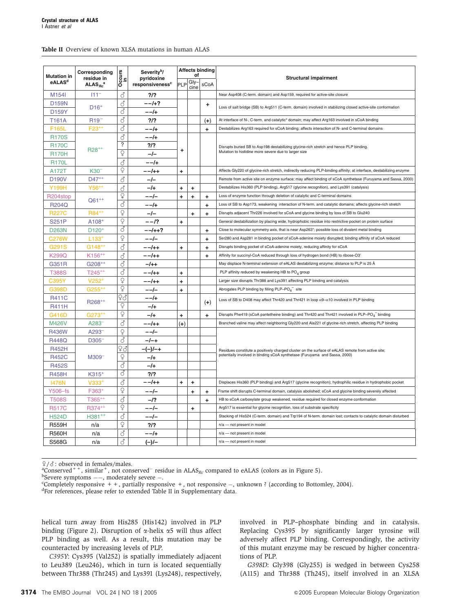#### Table II Overview of known XLSA mutations in human ALAS

| <b>Mutation in</b> | Corresponding<br>residue in | $\overline{O}$ ccurs        | Severity <sup>b</sup> /<br>pyridoxine | <b>Affects binding</b><br>οf |              | <b>Structural impairment</b>                                               |                                                                                                                                                |  |
|--------------------|-----------------------------|-----------------------------|---------------------------------------|------------------------------|--------------|----------------------------------------------------------------------------|------------------------------------------------------------------------------------------------------------------------------------------------|--|
| eALAS <sup>d</sup> | $ALAS_{BC}^{\quad a}$       |                             | responsiveness <sup>c</sup>           | PLP                          | Gly-<br>cine | sCoA                                                                       |                                                                                                                                                |  |
| M <sub>154</sub>   | $111^{-}$                   | ්                           | ?                                     |                              |              |                                                                            | Near Asp408 (C-term. domain) and Asp159, required for active-site closure                                                                      |  |
| <b>D159N</b>       | $D16+$                      | ්                           | $- -1$ +?                             |                              |              | +                                                                          | Loss of salt bridge (SB) to Arg511 (C-term. domain) involved in stabilizing closed active-site conformation                                    |  |
| D159Y              |                             | ්                           | $- -/+$                               |                              |              |                                                                            |                                                                                                                                                |  |
| T161A              | R <sub>19</sub>             | ♂                           | $?$ /?                                |                              |              | $^{(+)}$                                                                   | At interface of N-, C-term. and catalytic* domain; may affect Arg163 involved in sCoA binding                                                  |  |
| <b>F165L</b>       | $F23+$                      | ්                           | --/+                                  |                              |              | ÷.                                                                         | Destabilizes Arg163 required for sCoA binding; affects interaction of N- and C-terminal domains                                                |  |
| <b>R170S</b>       |                             | ්                           | --/+                                  |                              |              |                                                                            |                                                                                                                                                |  |
| <b>R170C</b>       | $R28^{++}$                  | ?                           | ?                                     | $\ddot{}$                    |              |                                                                            | Disrupts buried SB to Asp198 destabilizing glycine-rich stretch and hence PLP binding.<br>Mutation to histidine more severe due to larger size |  |
| <b>R170H</b>       |                             | $\overline{Q}$              | $-/-$                                 |                              |              |                                                                            |                                                                                                                                                |  |
| <b>R170L</b>       |                             | ♂                           | --/+                                  |                              |              |                                                                            |                                                                                                                                                |  |
| A172T              | K30 <sup>-</sup>            | ò                           | --/++                                 | $\ddot{}$                    |              |                                                                            | Affects Gly220 of glycine-rich stretch, indirectly reducing PLP-binding affinity; at interface, destabilizing enzyme                           |  |
| <b>D190V</b>       | $D47^{++}$                  | ₫                           | $-l-$                                 |                              |              |                                                                            | Remote from active site on enzyme surface; may affect binding of sCoA synthetase (Furuyama and Sassa, 2000)                                    |  |
| Y199H              | $Y56^{++}$                  | ♂                           | -/+                                   | ÷                            | ÷            |                                                                            | Destabilizes His360 (PLP binding), Arg517 (glycine recognition), and Lys391 (catalysis)                                                        |  |
| R204stop           | $Q61^{++}$                  | $\operatorname{\mathbb{Q}}$ | $- - -$                               | +                            | ÷            | ÷                                                                          | Loss of enzyme function through deletion of catalytic and C-terminal domains                                                                   |  |
| <b>R204Q</b>       |                             | ै                           | $- -/+$                               |                              |              | $\ddot{}$                                                                  | Loss of SB to Asp173, weakening interaction of N-term. and catalytic domains; affects glycine-rich stretch                                     |  |
| <b>R227C</b>       | R84 <sup>++</sup>           | $\mathsf{Q}$                | $-/-$                                 |                              | <sup>+</sup> | $\ddot{}$                                                                  | Disrupts adjacent Thr226 involved for sCoA and glycine binding by loss of SB to Glu240                                                         |  |
| <b>S251P</b>       | $A108+$                     | ¥                           | $- -12$                               | ÷.                           |              |                                                                            | General destabilization by placing wide, hydrophobic residue into restrictive pocket on protein surface                                        |  |
| <b>D263N</b>       | $D120+$                     | ්                           | $- -/ + + ?$                          |                              |              | ۰,                                                                         | Close to molecular symmetry axis, that is near Asp263*; possible loss of divalent metal binding                                                |  |
| C276W              | $L133^{+}$                  | $\mathsf{Q}$                | --/-                                  |                              |              | ÷.                                                                         | Ser280 and Asp281 in binding pocket of sCoA-adenine moiety disrupted; binding affinity of sCoA reduced                                         |  |
| G291S              | $G148^{++}$                 | ්                           | --/++                                 | $\ddot{}$                    |              | $\ddot{}$                                                                  | Disrupts binding pocket of sCoA-adenine moiety, reducing affinity for sCoA                                                                     |  |
| K299Q              | $K156^{++}$                 | ්                           | --/++                                 |                              |              | $\ddot{}$                                                                  | Affinity for succinyl-CoA reduced through loss of hydrogen bond (HB) to ribose-O3'                                                             |  |
| G351R              | $G208^{++}$                 | ♂                           | $-1$ ++                               |                              |              |                                                                            | May displace N-terminal extension of eALAS destabilizing enzyme; distance to PLP is 25 Å                                                       |  |
| <b>T388S</b>       | $T245^{++}$                 | ै                           | --/++                                 | ÷                            |              |                                                                            | PLP affinity reduced by weakening HB to PO <sub>4</sub> group                                                                                  |  |
| C395Y              | $V252+$                     | $\mathsf{Q}$                | --/++                                 | ÷                            |              |                                                                            | Larger size disrupts Thr388 and Lys391 affecting PLP binding and catalysis                                                                     |  |
| G398D              | $G255^{++}$                 | $\overline{Q}$              | $- -$ / $-$                           | $\ddot{}$                    |              |                                                                            | Abrogates PLP binding by filling PLP-PO <sub>4</sub> <sup>-</sup> site                                                                         |  |
| <b>R411C</b>       |                             | ₽♂                          | $- -/+$                               |                              |              |                                                                            | Loss of SB to D408 may affect Thr420 and Thr421 in loop $\alpha$ 9- $\alpha$ 10 involved in PLP binding                                        |  |
| <b>R411H</b>       | R268 <sup>++</sup>          | Q                           | $-l+$                                 |                              |              | $(+)$                                                                      |                                                                                                                                                |  |
| G416D              | $G273^{++}$                 | $\overline{Q}$              | $-l+$                                 | $\ddot{}$                    |              | +                                                                          | Disrupts Phe419 (sCoA pantetheine binding) and Thr420 and Thr421 involved in PLP-PO <sub>4</sub> binding                                       |  |
| M426V              | A283 <sup>-</sup>           | ♂                           | --/++                                 | $(+)$                        |              |                                                                            | Branched valine may affect neighboring Gly220 and Ala221 of glycine-rich stretch, affecting PLP binding                                        |  |
| <b>R436W</b>       | A293 <sup>-</sup>           | ç                           | $- -$ / $-$                           |                              |              |                                                                            |                                                                                                                                                |  |
| <b>R448Q</b>       | D305 <sup>-</sup>           | ්                           | $-l-+$                                |                              |              |                                                                            |                                                                                                                                                |  |
| <b>R452H</b>       |                             | ₽♂                          | $-(-)/-+$                             |                              |              |                                                                            | Residues constitute a positively charged cluster on the surface of eALAS remote from active site;                                              |  |
| <b>R452C</b>       | M309 <sup>-</sup>           | $\operatorname{\mathbb{Q}}$ | $-l+$                                 |                              |              | potentially involved in binding sCoA synthetase (Furuyama and Sassa, 2000) |                                                                                                                                                |  |
| <b>R452S</b>       |                             | 8                           | $-l+$                                 |                              |              |                                                                            |                                                                                                                                                |  |
| <b>R458H</b>       | $K315+$                     | र्ठ                         | 2/2                                   |                              |              |                                                                            |                                                                                                                                                |  |
| <b>I476N</b>       | $V333^{+}$                  | ♂                           | --/++                                 | ÷                            | ٠            |                                                                            | Displaces His360 (PLP binding) and Arg517 (glycine recognition); hydrophilic residue in hydrophobic pocket                                     |  |
| Y506-fs            | F363 <sup>+</sup>           | ¥                           | $- -$ / $-$                           |                              | ÷            | ۰,                                                                         | Frame shift disrupts C-terminal domain, catalysis abolished; sCoA and glycine binding severely affected                                        |  |
| <b>T508S</b>       | $T365^{++}$                 | ්                           | $-12$                                 |                              |              | $\ddot{}$                                                                  | HB to sCoA carboxylate group weakened, residue required for closed enzyme conformation                                                         |  |
| <b>R517C</b>       | R374 <sup>++</sup>          | ¥                           | $- - -$                               |                              | $\ddot{}$    |                                                                            | Arg517 is essential for glycine recognition, loss of substrate specificity                                                                     |  |
| <b>H524D</b>       | $H381^{++}$                 | ්                           | ——/—                                  |                              |              |                                                                            | Stacking of His524 (C-term. domain) and Trp194 of N-term. domain lost; contacts to catalytic domain disturbed                                  |  |
| <b>R559H</b>       | n/a                         | $\overline{Q}$              | $?$ /?                                |                              |              |                                                                            | n/a - not present in model                                                                                                                     |  |
| <b>R560H</b>       | n/a                         | ₫                           | $- - +$                               |                              |              |                                                                            | $n/a$ – not present in model                                                                                                                   |  |
| S568G              | n/a                         | ්                           | $(-)$ /-                              |                              |              |                                                                            | n/a - not present in model                                                                                                                     |  |

 $\frac{9}{3}$ : observed in females/males.

<sup>a</sup>Conserved<sup>++</sup>, similar<sup>+</sup>, not conserved<sup>-</sup> residue in  $ALAS_{Rc}$  compared to eALAS (colors as in Figure 5).

 $\rm{^{6}S}$ evere symptoms ——, moderately severe —.<br> $\rm{^{6}Completely}$  responsive  $\rm{^{+}+}$  partially responsi

Completely responsive  $+$ , partially responsive  $+$ , not responsive  $-$ , unknown ? (according to Bottomley, 2004).

<sup>d</sup>For references, please refer to extended Table II in Supplementary data.

helical turn away from His285 (His142) involved in PLP binding (Figure 2). Disruption of  $\alpha$ -helix  $\alpha$ 5 will thus affect PLP binding as well. As a result, this mutation may be counteracted by increasing levels of PLP.

C395Y: Cys395 (Val252) is spatially immediately adjacent to Leu389 (Leu246), which in turn is located sequentially between Thr388 (Thr245) and Lys391 (Lys248), respectively,

involved in PLP–phosphate binding and in catalysis. Replacing Cys395 by significantly larger tyrosine will adversely affect PLP binding. Correspondingly, the activity of this mutant enzyme may be rescued by higher concentrations of PLP.

G398D: Gly398 (Gly255) is wedged in between Cys258 (A115) and Thr388 (Th245), itself involved in an XLSA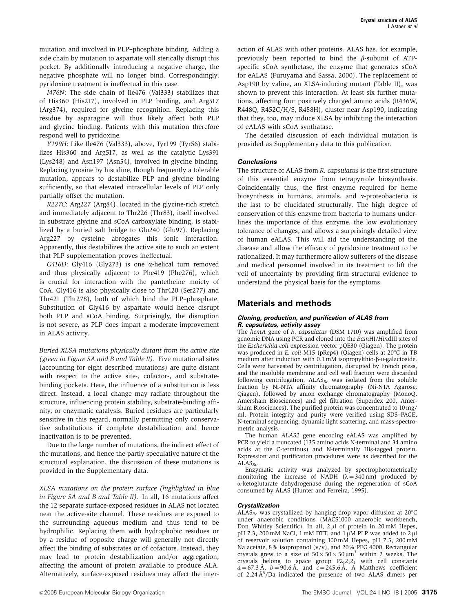mutation and involved in PLP–phosphate binding. Adding a side chain by mutation to aspartate will sterically disrupt this pocket. By additionally introducing a negative charge, the negative phosphate will no longer bind. Correspondingly, pyridoxine treatment is ineffectual in this case.

I476N: The side chain of Ile476 (Val333) stabilizes that of His360 (His217), involved in PLP binding, and Arg517 (Arg374), required for glycine recognition. Replacing this residue by asparagine will thus likely affect both PLP and glycine binding. Patients with this mutation therefore respond well to pyridoxine.

Y199H: Like Ile476 (Val333), above, Tyr199 (Tyr56) stabilizes His360 and Arg517, as well as the catalytic Lys391 (Lys248) and Asn197 (Asn54), involved in glycine binding. Replacing tyrosine by histidine, though frequently a tolerable mutation, appears to destabilize PLP and glycine binding sufficiently, so that elevated intracellular levels of PLP only partially offset the mutation.

R227C: Arg227 (Arg84), located in the glycine-rich stretch and immediately adjacent to Thr226 (Thr83), itself involved in substrate glycine and sCoA carboxylate binding, is stabilized by a buried salt bridge to Glu240 (Glu97). Replacing Arg227 by cysteine abrogates this ionic interaction. Apparently, this destabilizes the active site to such an extent that PLP supplementation proves ineffectual.

G416D: Gly416 (Gly273) is one a-helical turn removed and thus physically adjacent to Phe419 (Phe276), which is crucial for interaction with the pantetheine moiety of CoA. Gly416 is also physically close to Thr420 (Ser277) and Thr421 (Thr278), both of which bind the PLP–phosphate. Substitution of Gly416 by aspartate would hence disrupt both PLP and sCoA binding. Surprisingly, the disruption is not severe, as PLP does impart a moderate improvement in ALAS activity.

Buried XLSA mutations physically distant from the active site (green in Figure 5A and B and Table II). Five mutational sites (accounting for eight described mutations) are quite distant with respect to the active site-, cofactor-, and substratebinding pockets. Here, the influence of a substitution is less direct. Instead, a local change may radiate throughout the structure, influencing protein stability, substrate-binding affinity, or enzymatic catalysis. Buried residues are particularly sensitive in this regard, normally permitting only conservative substitutions if complete destabilization and hence inactivation is to be prevented.

Due to the large number of mutations, the indirect effect of the mutations, and hence the partly speculative nature of the structural explanation, the discussion of these mutations is provided in the Supplementary data.

XLSA mutations on the protein surface (highlighted in blue in Figure 5A and B and Table II). In all, 16 mutations affect the 12 separate surface-exposed residues in ALAS not located near the active-site channel. These residues are exposed to the surrounding aqueous medium and thus tend to be hydrophilic. Replacing them with hydrophobic residues or by a residue of opposite charge will generally not directly affect the binding of substrates or of cofactors. Instead, they may lead to protein destabilization and/or aggregation, affecting the amount of protein available to produce ALA. Alternatively, surface-exposed residues may affect the inter-

action of ALAS with other proteins. ALAS has, for example, previously been reported to bind the  $\beta$ -subunit of ATPspecific sCoA synthetase, the enzyme that generates sCoA for eALAS (Furuyama and Sassa, 2000). The replacement of Asp190 by valine, an XLSA-inducing mutant (Table II), was shown to prevent this interaction. At least six further mutations, affecting four positively charged amino acids (R436W, R448Q, R452C/H/S, R458H), cluster near Asp190, indicating that they, too, may induce XLSA by inhibiting the interaction of eALAS with sCoA synthatase.

The detailed discussion of each individual mutation is provided as Supplementary data to this publication.

#### **Conclusions**

The structure of ALAS from R. capsulatus is the first structure of this essential enzyme from tetrapyrrole biosynthesis. Coincidentally thus, the first enzyme required for heme biosynthesis in humans, animals, and  $\alpha$ -proteobacteria is the last to be elucidated structurally. The high degree of conservation of this enzyme from bacteria to humans underlines the importance of this enzyme, the low evolutionary tolerance of changes, and allows a surprisingly detailed view of human eALAS. This will aid the understanding of the disease and allow the efficacy of pyridoxine treatment to be rationalized. It may furthermore allow sufferers of the disease and medical personnel involved in its treatment to lift the veil of uncertainty by providing firm structural evidence to understand the physical basis for the symptoms.

### **Materials and methods**

#### **Cloning, production, and purification of ALAS from R. capsulatus, activity assay**

The hemA gene of R. capsulatus (DSM 1710) was amplified from genomic DNA using PCR and cloned into the BamHI/HindIII sites of the Escherichia coli expression vector pQE30 (Qiagen). The protein was produced in E. coli M15 (pRep4) (Qiagen) cells at  $20^{\circ}$ C in TB medium after induction with 0.1 mM isopropylthio-β-D-galactoside. Cells were harvested by centrifugation, disrupted by French press, and the insoluble membrane and cell wall fraction were discarded following centrifugation.  $ALAS_{Rc}$  was isolated from the soluble fraction by Ni-NTA affinity chromatography (Ni-NTA Agarose, Qiagen), followed by anion exchange chromatography (MonoQ, Amersham Biosciences) and gel filtration (Superdex 200, Amersham Biosciences). The purified protein was concentrated to 10 mg/ ml. Protein integrity and purity were verified using SDS–PAGE, N-terminal sequencing, dynamic light scattering, and mass-spectrometric analysis.

The human ALAS2 gene encoding eALAS was amplified by PCR to yield a truncated (135 amino acids N-terminal and 34 amino acids at the C-terminus) and N-terminally His-tagged protein. Expression and purification procedures were as described for the  $ALAS_{Rc}$ .

Enzymatic activity was analyzed by spectrophotometrically monitoring the increase of NADH  $(\lambda = 340 \text{ nm})$  produced by a-ketoglutarate dehydrogenase during the regeneration of sCoA consumed by ALAS (Hunter and Ferreira, 1995).

#### **Crystallization**

ALAS<sub>Rc</sub> was crystallized by hanging drop vapor diffusion at  $20^{\circ}$ C under anaerobic conditions (MACS1000 anaerobic workbench, Don Whitley Scientific). In all,  $2 \mu l$  of protein in  $20 \text{ mM}$  Hepes, pH 7.3, 200 mM NaCl, 1 mM DTT, and 1 µM PLP was added to 2 µl of reservoir solution containing 100 mM Hepes, pH 7.5, 200 mM Na acetate, 8% isopropanol ( $v/v$ ), and 20% PEG 4000. Rectangular crystals grew to a size of  $50 \times 50 \times 50 \mu m^3$  within 2 weeks. The crystals belong to space group  $P2_12_12_1$  with cell constants  $a = 67.3 \text{ Å}, b = 90.6 \text{ Å}, \text{ and } c = 245.6 \text{ Å}.$  A Matthews coefficient of 2.24  $A^3/Da$  indicated the presence of two ALAS dimers per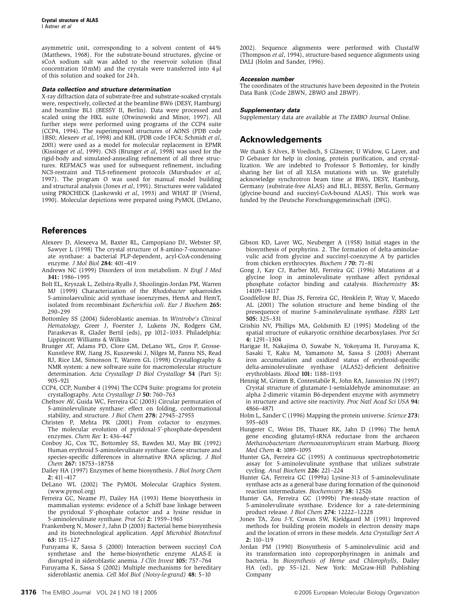asymmetric unit, corresponding to a solvent content of 44% (Matthews, 1968). For the substrate-bound structures, glycine or sCoA sodium salt was added to the reservoir solution (final concentration 10 mM) and the crystals were transferred into  $4 \mu$ of this solution and soaked for 24 h.

#### **Data collection and structure determination**

X-ray diffraction data of substrate-free and substrate-soaked crystals were, respectively, collected at the beamline BW6 (DESY, Hamburg) and beamline BL1 (BESSY II, Berlin). Data were processed and scaled using the HKL suite (Otwinowski and Minor, 1997). All further steps were performed using programs of the CCP4 suite (CCP4, 1994). The superimposed structures of AONS (PDB code 1BS0; Alexeev et al, 1998) and KBL (PDB code 1FC4; Schmidt et al, 2001) were used as a model for molecular replacement in EPMR (Kissinger et al, 1999). CNS (Brunger et al, 1998) was used for the rigid-body and simulated-annealing refinement of all three structures. REFMAC5 was used for subsequent refinement, including NCS-restraint and TLS-refinement protocols (Murshudov et al, 1997). The program O was used for manual model building and structural analysis (Jones et al, 1991). Structures were validated using PROCHECK (Laskowski et al, 1993) and WHAT IF (Vriend, 1990). Molecular depictions were prepared using PyMOL (DeLano,

### **References**

- Alexeev D, Alexeeva M, Baxter RL, Campopiano DJ, Webster SP, Sawyer L (1998) The crystal structure of 8-amino-7-oxononanoate synthase: a bacterial PLP-dependent, acyl-CoA-condensing enzyme. J Mol Biol 284: 401–419
- Andrews NC (1999) Disorders of iron metabolism. N Engl J Med 341: 1986–1995
- Bolt EL, Kryszak L, Zeilstra-Ryalls J, Shoolingin-Jordan PM, Warren MJ (1999) Characterization of the Rhodobacter sphaeroides 5-aminolaevulinic acid synthase isoenzymes, HemA and HemT, isolated from recombinant Escherichia coli. Eur J Biochem 265: 290–299
- Bottomley SS (2004) Sideroblastic anemias. In Wintrobe's Clinical Hematology, Greer J, Foerster J, Lukens JN, Rodgers GM, Paraskevas R, Glader Bertil (eds), pp 1012–1033. Philadelphia: Lippincott Williams & Wilkins
- Brunger AT, Adams PD, Clore GM, DeLano WL, Gros P, Grosse-Kunstleve RW, Jiang JS, Kuszewski J, Nilges M, Pannu NS, Read RJ, Rice LM, Simonson T, Warren GL (1998) Crystallography & NMR system: a new software suite for macromolecular structure determination. Acta Crystallogr D Biol Crystallogr 54 (Part 5): 905–921
- CCP4, CCP, Number 4 (1994) The CCP4 Suite: programs for protein crystallography. Acta Crystallogr D 50: 760–763
- Cheltsov AV, Guida WC, Ferreira GC (2003) Circular permutation of 5-aminolevulinate synthase: effect on folding, conformational stability, and structure. J Biol Chem 278: 27945–27955
- Christen P, Mehta PK (2001) From cofactor to enzymes. The molecular evolution of pyridoxal-5'-phosphate-dependent enzymes. Chem Rec 1: 436–447
- Conboy JG, Cox TC, Bottomley SS, Bawden MJ, May BK (1992) Human erythroid 5-aminolevulinate synthase. Gene structure and species-specific differences in alternative RNA splicing. J Biol Chem 267: 18753–18758
- Dailey HA (1997) Enzymes of heme biosynthesis. J Biol Inorg Chem 2: 411–417
- DeLano WL (2002) The PyMOL Molecular Graphics System. (www.pymol.org)
- Ferreira GC, Neame PJ, Dailey HA (1993) Heme biosynthesis in mammalian systems: evidence of a Schiff base linkage between the pyridoxal 5'-phosphate cofactor and a lysine residue in 5-aminolevulinate synthase. Prot Sci 2: 1959–1965
- Frankenberg N, Moser J, Jahn D (2003) Bacterial heme biosynthesis and its biotechnological application. Appl Microbiol Biotechnol 63: 115–127
- Furuyama K, Sassa S (2000) Interaction between succinyl CoA synthetase and the heme-biosynthetic enzyme ALAS-E is disrupted in sideroblastic anemia. J Clin Invest 105: 757–764
- Furuyama K, Sassa S (2002) Multiple mechanisms for hereditary sideroblastic anemia. Cell Mol Biol (Noisy-le-grand) 48: 5–10

2002). Sequence alignments were performed with ClustalW (Thompson et al, 1994), structure-based sequence alignments using DALI (Holm and Sander, 1996).

#### **Accession number**

The coordinates of the structures have been deposited in the Protein Data Bank (Code 2BWN, 2BWO and 2BWP).

#### **Supplementary data**

Supplementary data are available at The EMBO Journal Online.

# **Acknowledgements**

We thank S Alves, B Voedisch, S Gläsener, U Widow, G Layer, and D Gebauer for help in cloning, protein purification, and crystallization. We are indebted to Professor S Bottomley, for kindly sharing her list of all XLSA mutations with us. We gratefully acknowledge synchrotron beam time at BW6, DESY, Hamburg, Germany (substrate-free ALAS) and BL1, BESSY, Berlin, Germany (glycine-bound and succinyl-CoA-bound ALAS). This work was funded by the Deutsche Forschungsgemeinschaft (DFG).

- Gibson KD, Laver WG, Neuberger A (1958) Initial stages in the biosynthesis of porphyrins. 2. The formation of delta-aminolaevulic acid from glycine and succinyl-coenzyme A by particles from chicken erythrocytes. Biochem J 70: 71–81
- Gong J, Kay CJ, Barber MJ, Ferreira GC (1996) Mutations at a glycine loop in aminolevulinate synthase affect pyridoxal phosphate cofactor binding and catalysis. Biochemistry 35: 14109–14117
- Goodfellow BJ, Dias JS, Ferreira GC, Henklein P, Wray V, Macedo AL (2001) The solution structure and heme binding of the presequence of murine 5-aminolevulinate synthase. FEBS Lett 505: 325–331
- Grishin NV, Phillips MA, Goldsmith EJ (1995) Modeling of the spatial structure of eukaryotic ornithine decarboxylases. Prot Sci 4: 1291–1304
- Harigae H, Nakajima O, Suwabe N, Yokoyama H, Furuyama K, Sasaki T, Kaku M, Yamamoto M, Sassa S (2003) Aberrant iron accumulation and oxidized status of erythroid-specific delta-aminolevulinate synthase (ALAS2)-deficient definitive erythroblasts. Blood 101: 1188–1193
- Hennig M, Grimm B, Contestabile R, John RA, Jansonius JN (1997) Crystal structure of glutamate-1-semialdehyde aminomutase: an alpha 2-dimeric vitamin B6-dependent enzyme with asymmetry in structure and active site reactivity. Proc Natl Acad Sci USA 94: 4866–4871
- Holm L, Sander C (1996) Mapping the protein universe. Science 273: 595–603
- Hungerer C, Weiss DS, Thauer RK, Jahn D (1996) The hemA gene encoding glutamyl-tRNA reductase from the archaeon Methanobacterium thermoautotrophicum strain Marburg. Bioorg Med Chem 4: 1089–1095
- Hunter GA, Ferreira GC (1995) A continuous spectrophotometric assay for 5-aminolevulinate synthase that utilizes substrate cycling. Anal Biochem 226: 221–224
- Hunter GA, Ferreira GC (1999a) Lysine-313 of 5-aminolevulinate synthase acts as a general base during formation of the quinonoid reaction intermediates. Biochemistry 38: 12526
- Hunter GA, Ferreira GC (1999b) Pre-steady-state reaction of 5-aminolevulinate synthase. Evidence for a rate-determining product release. J Biol Chem 274: 12222–12228
- Jones TA, Zou J-Y, Cowan SW, Kjeldgaard M (1991) Improved methods for building protein models in electron density maps and the location of errors in these models. Acta Crystallogr Sect A 2: 110–119
- Jordan PM (1990) Biosynthesis of 5-aminolevulinic acid and its transformation into coproporphyrinogen in animals and bacteria. In Biosynthesis of Heme and Chlorophylls, Dailey HA (ed), pp 55–121. New York: McGraw-Hill Publishing Company